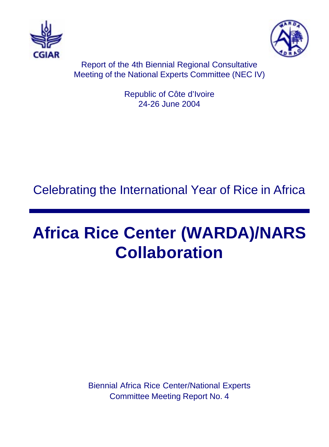



Report of the 4th Biennial Regional Consultative Meeting of the National Experts Committee (NEC IV)

> Republic of Côte d'Ivoire 24-26 June 2004

# Celebrating the International Year of Rice in Africa

# **Africa Rice Center (WARDA)/NARS Collaboration**

Biennial Africa Rice Center/National Experts Committee Meeting Report No. 4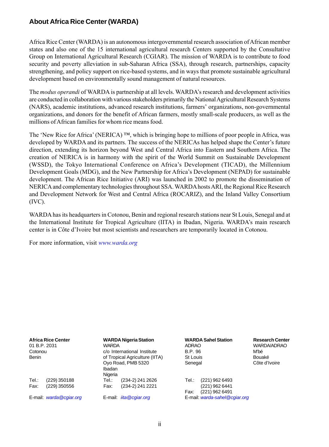### **About Africa Rice Center (WARDA)**

Africa Rice Center (WARDA) is an autonomous intergovernmental research association of African member states and also one of the 15 international agricultural research Centers supported by the Consultative Group on International Agricultural Research (CGIAR). The mission of WARDA is to contribute to food security and poverty alleviation in sub-Saharan Africa (SSA), through research, partnerships, capacity strengthening, and policy support on rice-based systems, and in ways that promote sustainable agricultural development based on environmentally sound management of natural resources.

The *modus operandi* of WARDA is partnership at all levels. WARDA's research and development activities are conducted in collaboration with various stakeholders primarily the National Agricultural Research Systems (NARS), academic institutions, advanced research institutions, farmersí organizations, non-governmental organizations, and donors for the benefit of African farmers, mostly small-scale producers, as well as the millions of African families for whom rice means food.

The 'New Rice for Africa' (NERICA)  $TM$ , which is bringing hope to millions of poor people in Africa, was developed by WARDA and its partners. The success of the NERICAs has helped shape the Center's future direction, extending its horizon beyond West and Central Africa into Eastern and Southern Africa. The creation of NERICA is in harmony with the spirit of the World Summit on Sustainable Development (WSSD), the Tokyo International Conference on Africaís Development (TICAD), the Millennium Development Goals (MDG), and the New Partnership for Africaís Development (NEPAD) for sustainable development. The African Rice Initiative (ARI) was launched in 2002 to promote the dissemination of NERICA and complementary technologies throughout SSA. WARDA hosts ARI, the Regional Rice Research and Development Network for West and Central Africa (ROCARIZ), and the Inland Valley Consortium (IVC).

WARDA has its headquarters in Cotonou, Benin and regional research stations near St Louis, Senegal and at the International Institute for Tropical Agriculture (IITA) in Ibadan, Nigeria. WARDAís main research center is in Côte d'Ivoire but most scientists and researchers are temporarily located in Cotonou.

For more information, visit *www.warda.org*

| 01 B.P. 2031<br>Cotonou<br>Benin | <b>Africa Rice Center</b>    | <b>WARDA</b><br>Ibadan<br>Nigeria | <b>WARDA Nigeria Station</b><br>c/o International Institute<br>of Tropical Agriculture (IITA)<br>Oyo Road, PMB 5320 | <b>ADRAO</b><br><b>B.P. 96</b><br>St Louis<br>Senegal | <b>WARDA Sahel Station</b>                         | <b>Research Center</b><br><b>WARDA/ADRAO</b><br>M'bé<br>Bouaké<br>Côte d'Ivoire |
|----------------------------------|------------------------------|-----------------------------------|---------------------------------------------------------------------------------------------------------------------|-------------------------------------------------------|----------------------------------------------------|---------------------------------------------------------------------------------|
| Tel.∶<br>Fax:                    | (229) 350188<br>(229) 350556 | Tel.:<br>Fax:                     | (234-2) 241 2626<br>(234-2) 241 2221                                                                                | Tel.:<br>Fax:                                         | (221) 962 6493<br>(221) 962 6441<br>(221) 962 6491 |                                                                                 |
|                                  | E-mail: warda@cgiar.org      |                                   | E-mail: <i>iita@cgiar.org</i>                                                                                       |                                                       | E-mail: warda-sahel@cgiar.org                      |                                                                                 |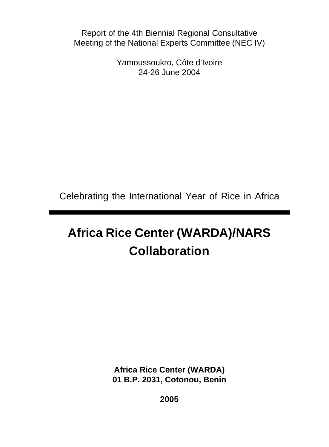Report of the 4th Biennial Regional Consultative Meeting of the National Experts Committee (NEC IV)

> Yamoussoukro, Côte d'Ivoire 24-26 June 2004

Celebrating the International Year of Rice in Africa

# **Africa Rice Center (WARDA)/NARS Collaboration**

**Africa Rice Center (WARDA) 01 B.P. 2031, Cotonou, Benin**

**2005**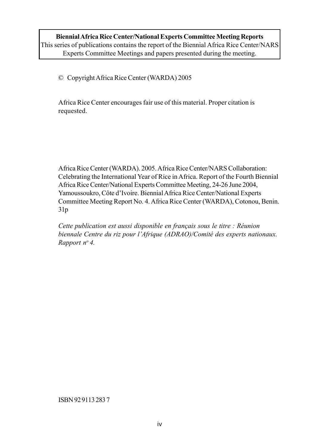© Copyright Africa Rice Center (WARDA) 2005

Africa Rice Center encourages fair use of this material. Proper citation is requested.

Africa Rice Center (WARDA). 2005. Africa Rice Center/NARS Collaboration: Celebrating the International Year of Rice in Africa. Report of the Fourth Biennial Africa Rice Center/National Experts Committee Meeting, 24-26 June 2004, Yamoussoukro, Côte d'Ivoire. Biennial Africa Rice Center/National Experts Committee Meeting Report No. 4. Africa Rice Center (WARDA), Cotonou, Benin. 31p

*Cette publication est aussi disponible en franÁais sous le titre : RÈunion biennale Centre du riz pour líAfrique (ADRAO)/ComitÈ des experts nationaux. Rapport no 4.*

ISBN 92 9113 283 7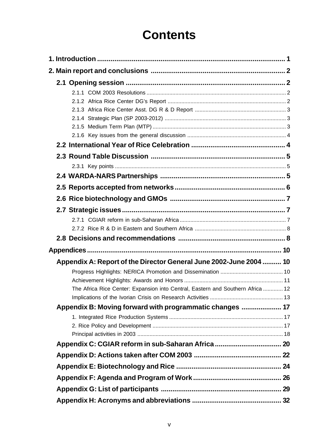# **Contents**

| Appendix A: Report of the Director General June 2002-June 2004  10              |  |
|---------------------------------------------------------------------------------|--|
|                                                                                 |  |
|                                                                                 |  |
| The Africa Rice Center: Expansion into Central, Eastern and Southern Africa  12 |  |
|                                                                                 |  |
| Appendix B: Moving forward with programmatic changes  17                        |  |
|                                                                                 |  |
|                                                                                 |  |
|                                                                                 |  |
| Appendix C: CGIAR reform in sub-Saharan Africa  20                              |  |
|                                                                                 |  |
|                                                                                 |  |
|                                                                                 |  |
|                                                                                 |  |
|                                                                                 |  |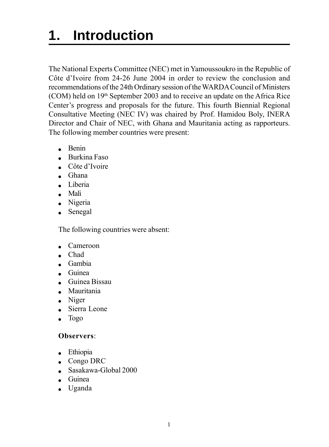# <span id="page-5-0"></span>**1. Introduction**

The National Experts Committee (NEC) met in Yamoussoukro in the Republic of Côte d'Ivoire from 24-26 June 2004 in order to review the conclusion and recommendations of the 24th Ordinary session of the WARDA Council of Ministers (COM) held on 19th September 2003 and to receive an update on the Africa Rice Center's progress and proposals for the future. This fourth Biennial Regional Consultative Meeting (NEC IV) was chaired by Prof. Hamidou Boly, INERA Director and Chair of NEC, with Ghana and Mauritania acting as rapporteurs. The following member countries were present:

- $B$ enin
- Burkina Faso
- $\epsilon$  Côte d'Ivoire
- ! Ghana
- Liberia
- Mali
- Nigeria
- Senegal

The following countries were absent:

- Cameroon
- . Chad
- ! Gambia
- ! Guinea
- ! Guinea Bissau
- Mauritania
- $\bullet$  Niger
- Sierra Leone
- $\bullet$  Togo

### **Observers**:

- Ethiopia
- ! Congo DRC
- ! Sasakawa-Global 2000
- ! Guinea
- ! Uganda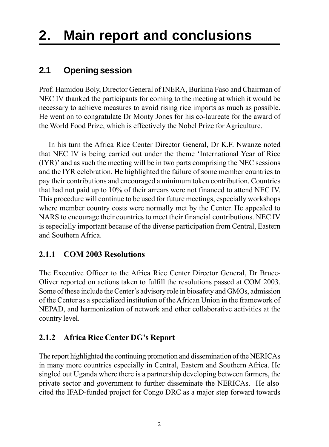# <span id="page-6-0"></span>**2. Main report and conclusions**

## **2.1 Opening session**

Prof. Hamidou Boly, Director General of INERA, Burkina Faso and Chairman of NEC IV thanked the participants for coming to the meeting at which it would be necessary to achieve measures to avoid rising rice imports as much as possible. He went on to congratulate Dr Monty Jones for his co-laureate for the award of the World Food Prize, which is effectively the Nobel Prize for Agriculture.

In his turn the Africa Rice Center Director General, Dr K.F. Nwanze noted that NEC IV is being carried out under the theme 'International Year of Rice  $(IYR)$ <sup> $\prime$ </sup> and as such the meeting will be in two parts comprising the NEC sessions and the IYR celebration. He highlighted the failure of some member countries to pay their contributions and encouraged a minimum token contribution. Countries that had not paid up to 10% of their arrears were not financed to attend NEC IV. This procedure will continue to be used for future meetings, especially workshops where member country costs were normally met by the Center. He appealed to NARS to encourage their countries to meet their financial contributions. NEC IV is especially important because of the diverse participation from Central, Eastern and Southern Africa.

### **2.1.1 COM 2003 Resolutions**

The Executive Officer to the Africa Rice Center Director General, Dr Bruce-Oliver reported on actions taken to fulfill the resolutions passed at COM 2003. Some of these include the Center's advisory role in biosafety and GMOs, admission of the Center as a specialized institution of the African Union in the framework of NEPAD, and harmonization of network and other collaborative activities at the country level.

### **2.1.2 Africa Rice Center DG's Report**

The report highlighted the continuing promotion and dissemination of the NERICAs in many more countries especially in Central, Eastern and Southern Africa. He singled out Uganda where there is a partnership developing between farmers, the private sector and government to further disseminate the NERICAs. He also cited the IFAD-funded project for Congo DRC as a major step forward towards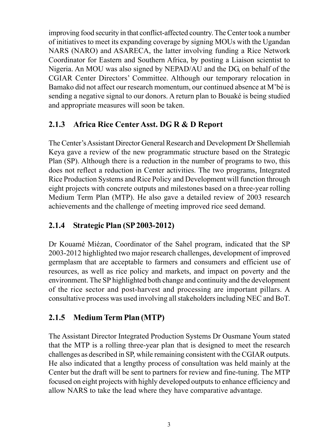<span id="page-7-0"></span>improving food security in that conflict-affected country. The Center took a number of initiatives to meet its expanding coverage by signing MOUs with the Ugandan NARS (NARO) and ASARECA, the latter involving funding a Rice Network Coordinator for Eastern and Southern Africa, by posting a Liaison scientist to Nigeria. An MOU was also signed by NEPAD/AU and the DG, on behalf of the CGIAR Center Directors' Committee. Although our temporary relocation in Bamako did not affect our research momentum, our continued absence at M'bé is sending a negative signal to our donors. A return plan to Bouaké is being studied and appropriate measures will soon be taken.

### **2.1.3 Africa Rice Center Asst. DG R & D Report**

The Centerís Assistant Director General Research and Development Dr Shellemiah Keya gave a review of the new programmatic structure based on the Strategic Plan (SP). Although there is a reduction in the number of programs to two, this does not reflect a reduction in Center activities. The two programs, Integrated Rice Production Systems and Rice Policy and Development will function through eight projects with concrete outputs and milestones based on a three-year rolling Medium Term Plan (MTP). He also gave a detailed review of 2003 research achievements and the challenge of meeting improved rice seed demand.

### **2.1.4 Strategic Plan (SP 2003-2012)**

Dr KouamÈ MiÈzan, Coordinator of the Sahel program, indicated that the SP 2003-2012 highlighted two major research challenges, development of improved germplasm that are acceptable to farmers and consumers and efficient use of resources, as well as rice policy and markets, and impact on poverty and the environment. The SP highlighted both change and continuity and the development of the rice sector and post-harvest and processing are important pillars. A consultative process was used involving all stakeholders including NEC and BoT.

### **2.1.5 Medium Term Plan (MTP)**

The Assistant Director Integrated Production Systems Dr Ousmane Youm stated that the MTP is a rolling three-year plan that is designed to meet the research challenges as described in SP, while remaining consistent with the CGIAR outputs. He also indicated that a lengthy process of consultation was held mainly at the Center but the draft will be sent to partners for review and fine-tuning. The MTP focused on eight projects with highly developed outputs to enhance efficiency and allow NARS to take the lead where they have comparative advantage.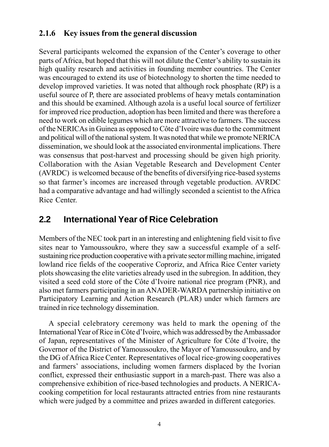### <span id="page-8-0"></span>**2.1.6 Key issues from the general discussion**

Several participants welcomed the expansion of the Center's coverage to other parts of Africa, but hoped that this will not dilute the Center's ability to sustain its high quality research and activities in founding member countries. The Center was encouraged to extend its use of biotechnology to shorten the time needed to develop improved varieties. It was noted that although rock phosphate (RP) is a useful source of P, there are associated problems of heavy metals contamination and this should be examined. Although azola is a useful local source of fertilizer for improved rice production, adoption has been limited and there was therefore a need to work on edible legumes which are more attractive to farmers. The success of the NERICAs in Guinea as opposed to Côte d'Ivoire was due to the commitment and political will of the national system. It was noted that while we promote NERICA dissemination, we should look at the associated environmental implications. There was consensus that post-harvest and processing should be given high priority. Collaboration with the Asian Vegetable Research and Development Center (AVRDC) is welcomed because of the benefits of diversifying rice-based systems so that farmer's incomes are increased through vegetable production. AVRDC had a comparative advantage and had willingly seconded a scientist to the Africa Rice Center.

## **2.2 International Year of Rice Celebration**

Members of the NEC took part in an interesting and enlightening field visit to five sites near to Yamoussoukro, where they saw a successful example of a selfsustaining rice production cooperative with a private sector milling machine, irrigated lowland rice fields of the cooperative Coproriz, and Africa Rice Center variety plots showcasing the elite varieties already used in the subregion. In addition, they visited a seed cold store of the Côte d'Ivoire national rice program (PNR), and also met farmers participating in an ANADER-WARDA partnership initiative on Participatory Learning and Action Research (PLAR) under which farmers are trained in rice technology dissemination.

A special celebratory ceremony was held to mark the opening of the International Year of Rice in Côte d'Ivoire, which was addressed by the Ambassador of Japan, representatives of the Minister of Agriculture for Côte d'Ivoire, the Governor of the District of Yamoussoukro, the Mayor of Yamoussoukro, and by the DG of Africa Rice Center. Representatives of local rice-growing cooperatives and farmers' associations, including women farmers displaced by the Ivorian conflict, expressed their enthusiastic support in a march-past. There was also a comprehensive exhibition of rice-based technologies and products. A NERICAcooking competition for local restaurants attracted entries from nine restaurants which were judged by a committee and prizes awarded in different categories.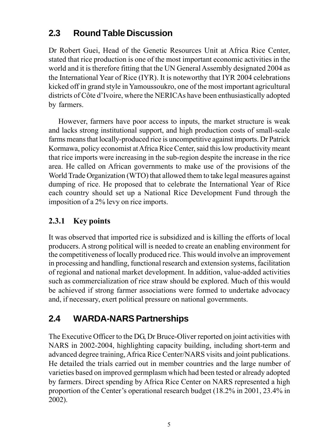# <span id="page-9-0"></span>**2.3 Round Table Discussion**

Dr Robert Guei, Head of the Genetic Resources Unit at Africa Rice Center, stated that rice production is one of the most important economic activities in the world and it is therefore fitting that the UN General Assembly designated 2004 as the International Year of Rice (IYR). It is noteworthy that IYR 2004 celebrations kicked off in grand style in Yamoussoukro, one of the most important agricultural districts of Côte d'Ivoire, where the NERICAs have been enthusiastically adopted by farmers.

However, farmers have poor access to inputs, the market structure is weak and lacks strong institutional support, and high production costs of small-scale farms means that locally-produced rice is uncompetitive against imports. Dr Patrick Kormawa, policy economist at Africa Rice Center, said this low productivity meant that rice imports were increasing in the sub-region despite the increase in the rice area. He called on African governments to make use of the provisions of the World Trade Organization (WTO) that allowed them to take legal measures against dumping of rice. He proposed that to celebrate the International Year of Rice each country should set up a National Rice Development Fund through the imposition of a 2% levy on rice imports.

## **2.3.1 Key points**

It was observed that imported rice is subsidized and is killing the efforts of local producers. A strong political will is needed to create an enabling environment for the competitiveness of locally produced rice. This would involve an improvement in processing and handling, functional research and extension systems, facilitation of regional and national market development. In addition, value-added activities such as commercialization of rice straw should be explored. Much of this would be achieved if strong farmer associations were formed to undertake advocacy and, if necessary, exert political pressure on national governments.

# **2.4 WARDA-NARS Partnerships**

The Executive Officer to the DG, Dr Bruce-Oliver reported on joint activities with NARS in 2002-2004, highlighting capacity building, including short-term and advanced degree training, Africa Rice Center/NARS visits and joint publications. He detailed the trials carried out in member countries and the large number of varieties based on improved germplasm which had been tested or already adopted by farmers. Direct spending by Africa Rice Center on NARS represented a high proportion of the Center's operational research budget (18.2% in 2001, 23.4% in 2002).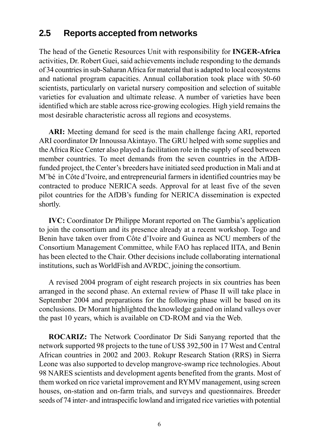### **2.5 Reports accepted from networks**

The head of the Genetic Resources Unit with responsibility for **INGER-Africa** activities, Dr. Robert Guei, said achievements include responding to the demands of 34 countries in sub-Saharan Africa for material that is adapted to local ecosystems and national program capacities. Annual collaboration took place with 50-60 scientists, particularly on varietal nursery composition and selection of suitable varieties for evaluation and ultimate release. A number of varieties have been identified which are stable across rice-growing ecologies. High yield remains the most desirable characteristic across all regions and ecosystems.

**ARI:** Meeting demand for seed is the main challenge facing ARI, reported ARI coordinator Dr Innoussa Akintayo. The GRU helped with some supplies and the Africa Rice Center also played a facilitation role in the supply of seed between member countries. To meet demands from the seven countries in the AfDBfunded project, the Center's breeders have initiated seed production in Mali and at M'bé in Côte d'Ivoire, and entrepreneurial farmers in identified countries may be contracted to produce NERICA seeds. Approval for at least five of the seven pilot countries for the AfDB's funding for NERICA dissemination is expected shortly.

**IVC:** Coordinator Dr Philippe Morant reported on The Gambia's application to join the consortium and its presence already at a recent workshop. Togo and Benin have taken over from Côte d'Ivoire and Guinea as NCU members of the Consortium Management Committee, while FAO has replaced IITA, and Benin has been elected to the Chair. Other decisions include collaborating international institutions, such as WorldFish and AVRDC, joining the consortium.

A revised 2004 program of eight research projects in six countries has been arranged in the second phase. An external review of Phase II will take place in September 2004 and preparations for the following phase will be based on its conclusions. Dr Morant highlighted the knowledge gained on inland valleys over the past 10 years, which is available on CD-ROM and via the Web.

**ROCARIZ:** The Network Coordinator Dr Sidi Sanyang reported that the network supported 98 projects to the tune of US\$ 392,500 in 17 West and Central African countries in 2002 and 2003. Rokupr Research Station (RRS) in Sierra Leone was also supported to develop mangrove-swamp rice technologies. About 98 NARES scientists and development agents benefited from the grants. Most of them worked on rice varietal improvement and RYMV management, using screen houses, on-station and on-farm trials, and surveys and questionnaires. Breeder seeds of 74 inter- and intraspecific lowland and irrigated rice varieties with potential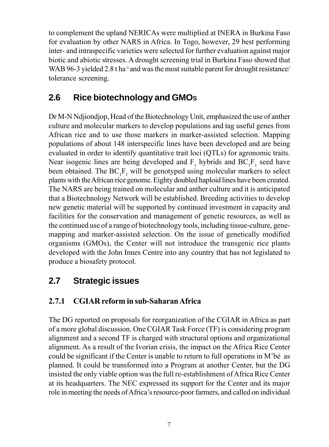<span id="page-11-0"></span>to complement the upland NERICAs were multiplied at INERA in Burkina Faso for evaluation by other NARS in Africa. In Togo, however, 29 best performing inter- and intraspecific varieties were selected for further evaluation against major biotic and abiotic stresses. A drought screening trial in Burkina Faso showed that WAB 96-3 yielded 2.8 t ha<sup>-1</sup> and was the most suitable parent for drought resistance/ tolerance screening.

# **2.6 Rice biotechnology and GMOS**

Dr M-N Ndjiondjop, Head of the Biotechnology Unit, emphasized the use of anther culture and molecular markers to develop populations and tag useful genes from African rice and to use those markers in marker-assisted selection. Mapping populations of about 148 interspecific lines have been developed and are being evaluated in order to identify quantitative trait loci (QTLs) for agronomic traits. Near isogenic lines are being developed and  $F_1$  hybrids and  $BC_1F_1$  seed have been obtained. The  $BC_1F_1$  will be genotyped using molecular markers to select plants with the African rice genome. Eighty doubled haploid lines have been created. The NARS are being trained on molecular and anther culture and it is anticipated that a Biotechnology Network will be established. Breeding activities to develop new genetic material will be supported by continued investment in capacity and facilities for the conservation and management of genetic resources, as well as the continued use of a range of biotechnology tools, including tissue-culture, genemapping and marker-assisted selection. On the issue of genetically modified organisms (GMOs), the Center will not introduce the transgenic rice plants developed with the John Innes Centre into any country that has not legislated to produce a biosafety protocol.

# **2.7 Strategic issues**

### **2.7.1 CGIAR reform in sub-Saharan Africa**

The DG reported on proposals for reorganization of the CGIAR in Africa as part of a more global discussion. One CGIAR Task Force (TF) is considering program alignment and a second TF is charged with structural options and organizational alignment. As a result of the Ivorian crisis, the impact on the Africa Rice Center could be significant if the Center is unable to return to full operations in M'bé as planned. It could be transformed into a Program at another Center, but the DG insisted the only viable option was the full re-establishment of Africa Rice Center at its headquarters. The NEC expressed its support for the Center and its major role in meeting the needs of Africaís resource-poor farmers, and called on individual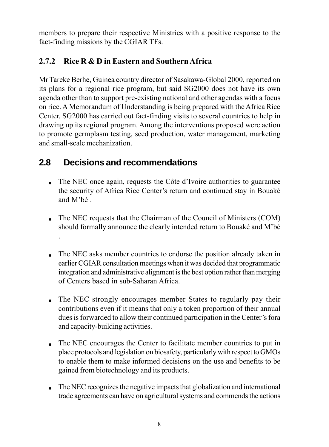<span id="page-12-0"></span>members to prepare their respective Ministries with a positive response to the fact-finding missions by the CGIAR TFs.

### **2.7.2 Rice R & D in Eastern and Southern Africa**

Mr Tareke Berhe, Guinea country director of Sasakawa-Global 2000, reported on its plans for a regional rice program, but said SG2000 does not have its own agenda other than to support pre-existing national and other agendas with a focus on rice. A Memorandum of Understanding is being prepared with the Africa Rice Center. SG2000 has carried out fact-finding visits to several countries to help in drawing up its regional program. Among the interventions proposed were action to promote germplasm testing, seed production, water management, marketing and small-scale mechanization.

# **2.8 Decisions and recommendations**

.

- $\bullet$  The NEC once again, requests the Côte d'Ivoire authorities to guarantee the security of Africa Rice Center's return and continued stay in Bouaké and M'hé
- The NEC requests that the Chairman of the Council of Ministers (COM) should formally announce the clearly intended return to Bouaké and M'bé
- The NEC asks member countries to endorse the position already taken in earlier CGIAR consultation meetings when it was decided that programmatic integration and administrative alignment is the best option rather than merging of Centers based in sub-Saharan Africa.
- ! The NEC strongly encourages member States to regularly pay their contributions even if it means that only a token proportion of their annual dues is forwarded to allow their continued participation in the Center's fora and capacity-building activities.
- The NEC encourages the Center to facilitate member countries to put in place protocols and legislation on biosafety, particularly with respect to GMOs to enable them to make informed decisions on the use and benefits to be gained from biotechnology and its products.
- The NEC recognizes the negative impacts that globalization and international trade agreements can have on agricultural systems and commends the actions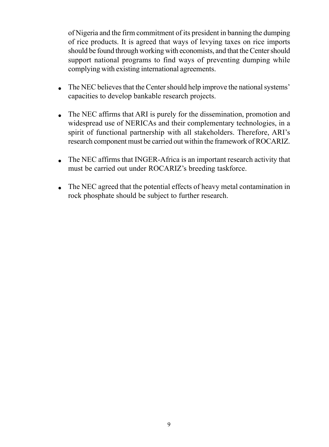<span id="page-13-0"></span>of Nigeria and the firm commitment of its president in banning the dumping of rice products. It is agreed that ways of levying taxes on rice imports should be found through working with economists, and that the Center should support national programs to find ways of preventing dumping while complying with existing international agreements.

- The NEC believes that the Center should help improve the national systems<sup>†</sup> capacities to develop bankable research projects.
- The NEC affirms that ARI is purely for the dissemination, promotion and widespread use of NERICAs and their complementary technologies, in a spirit of functional partnership with all stakeholders. Therefore, ARI's research component must be carried out within the framework of ROCARIZ.
- The NEC affirms that INGER-Africa is an important research activity that must be carried out under ROCARIZ's breeding taskforce.
- ! The NEC agreed that the potential effects of heavy metal contamination in rock phosphate should be subject to further research.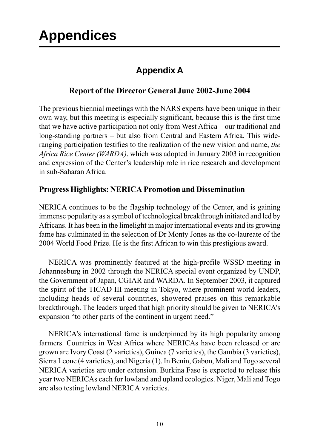# <span id="page-14-0"></span>**Appendices**

# **Appendix A**

### **Report of the Director General June 2002-June 2004**

The previous biennial meetings with the NARS experts have been unique in their own way, but this meeting is especially significant, because this is the first time that we have active participation not only from West Africa  $-$  our traditional and long-standing partners – but also from Central and Eastern Africa. This wideranging participation testifies to the realization of the new vision and name, *the Africa Rice Center (WARDA)*, which was adopted in January 2003 in recognition and expression of the Center's leadership role in rice research and development in sub-Saharan Africa.

### **Progress Highlights: NERICA Promotion and Dissemination**

NERICA continues to be the flagship technology of the Center, and is gaining immense popularity as a symbol of technological breakthrough initiated and led by Africans. It has been in the limelight in major international events and its growing fame has culminated in the selection of Dr Monty Jones as the co-laureate of the 2004 World Food Prize. He is the first African to win this prestigious award.

NERICA was prominently featured at the high-profile WSSD meeting in Johannesburg in 2002 through the NERICA special event organized by UNDP, the Government of Japan, CGIAR and WARDA. In September 2003, it captured the spirit of the TICAD III meeting in Tokyo, where prominent world leaders, including heads of several countries, showered praises on this remarkable breakthrough. The leaders urged that high priority should be given to NERICAís expansion "to other parts of the continent in urgent need."

NERICA's international fame is underpinned by its high popularity among farmers. Countries in West Africa where NERICAs have been released or are grown are Ivory Coast (2 varieties), Guinea (7 varieties), the Gambia (3 varieties), Sierra Leone (4 varieties), and Nigeria (1). In Benin, Gabon, Mali and Togo several NERICA varieties are under extension. Burkina Faso is expected to release this year two NERICAs each for lowland and upland ecologies. Niger, Mali and Togo are also testing lowland NERICA varieties.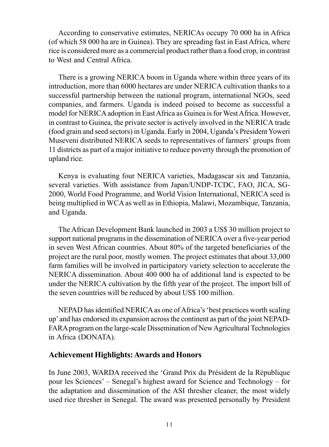<span id="page-15-0"></span>According to conservative estimates, NERICAs occupy 70 000 ha in Africa (of which 58 000 ha are in Guinea). They are spreading fast in East Africa, where rice is considered more as a commercial product rather than a food crop, in contrast to West and Central Africa.

There is a growing NERICA boom in Uganda where within three years of its introduction, more than 6000 hectares are under NERICA cultivation thanks to a successful partnership between the national program, international NGOs, seed companies, and farmers. Uganda is indeed poised to become as successful a model for NERICA adoption in East Africa as Guinea is for West Africa. However, in contrast to Guinea, the private sector is actively involved in the NERICA trade (food grain and seed sectors) in Uganda. Early in 2004, Ugandaís President Yoweri Museveni distributed NERICA seeds to representatives of farmersí groups from 11 districts as part of a major initiative to reduce poverty through the promotion of upland rice.

Kenya is evaluating four NERICA varieties, Madagascar six and Tanzania, several varieties. With assistance from Japan/UNDP-TCDC, FAO, JICA, SG-2000, World Food Programme, and World Vision International, NERICA seed is being multiplied in WCA as well as in Ethiopia, Malawi, Mozambique, Tanzania, and Uganda.

The African Development Bank launched in 2003 a US\$ 30 million project to support national programs in the dissemination of NERICA over a five-year period in seven West African countries. About 80% of the targeted beneficiaries of the project are the rural poor, mostly women. The project estimates that about 33,000 farm families will be involved in participatory variety selection to accelerate the NERICA dissemination. About 400 000 ha of additional land is expected to be under the NERICA cultivation by the fifth year of the project. The import bill of the seven countries will be reduced by about US\$ 100 million.

NEPAD has identified NERICA as one of Africa's 'best practices worth scaling upí and has endorsed its expansion across the continent as part of the joint NEPAD-FARA program on the large-scale Dissemination of New Agricultural Technologies in Africa (DONATA).

### **Achievement Highlights: Awards and Honors**

In June 2003, WARDA received the 'Grand Prix du Président de la République pour les Sciences' – Senegal's highest award for Science and Technology – for the adaptation and dissemination of the ASI thresher cleaner, the most widely used rice thresher in Senegal. The award was presented personally by President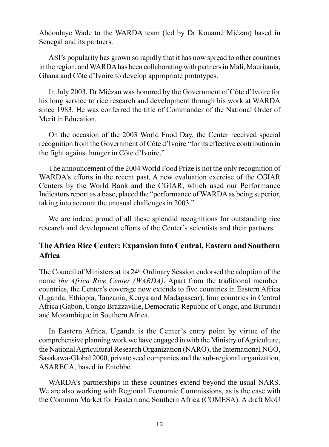<span id="page-16-0"></span>Abdoulaye Wade to the WARDA team (led by Dr Kouamé Miézan) based in Senegal and its partners.

ASI's popularity has grown so rapidly that it has now spread to other countries in the region, and WARDA has been collaborating with partners in Mali, Mauritania, Ghana and Côte d'Ivoire to develop appropriate prototypes.

In July 2003, Dr Miézan was honored by the Government of Côte d'Ivoire for his long service to rice research and development through his work at WARDA since 1983. He was conferred the title of Commander of the National Order of Merit in Education.

On the occasion of the 2003 World Food Day, the Center received special recognition from the Government of Côte d'Ivoire "for its effective contribution in the fight against hunger in Côte d'Ivoire."

The announcement of the 2004 World Food Prize is not the only recognition of WARDAís efforts in the recent past. A new evaluation exercise of the CGIAR Centers by the World Bank and the CGIAR, which used our Performance Indicators report as a base, placed the "performance of WARDA as being superior, taking into account the unusual challenges in 2003.<sup>n</sup>

We are indeed proud of all these splendid recognitions for outstanding rice research and development efforts of the Center's scientists and their partners.

### **The Africa Rice Center: Expansion into Central, Eastern and Southern Africa**

The Council of Ministers at its 24th Ordinary Session endorsed the adoption of the name *the Africa Rice Center (WARDA)*. Apart from the traditional member countries, the Center's coverage now extends to five countries in Eastern Africa (Uganda, Ethiopia, Tanzania, Kenya and Madagascar), four countries in Central Africa (Gabon, Congo Brazzaville, Democratic Republic of Congo, and Burundi) and Mozambique in Southern Africa.

In Eastern Africa, Uganda is the Center's entry point by virtue of the comprehensive planning work we have engaged in with the Ministry of Agriculture, the National Agricultural Research Organization (NARO), the International NGO, Sasakawa-Global 2000, private seed companies and the sub-regional organization, ASARECA, based in Entebbe.

WARDA's partnerships in these countries extend beyond the usual NARS. We are also working with Regional Economic Commissions, as is the case with the Common Market for Eastern and Southern Africa (COMESA). A draft MoU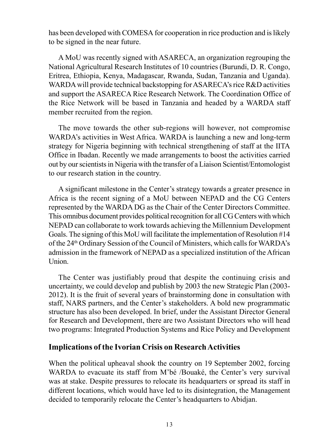<span id="page-17-0"></span>has been developed with COMESA for cooperation in rice production and is likely to be signed in the near future.

A MoU was recently signed with ASARECA, an organization regrouping the National Agricultural Research Institutes of 10 countries (Burundi, D. R. Congo, Eritrea, Ethiopia, Kenya, Madagascar, Rwanda, Sudan, Tanzania and Uganda). WARDA will provide technical backstopping for ASARECA's rice R&D activities and support the ASARECA Rice Research Network. The Coordination Office of the Rice Network will be based in Tanzania and headed by a WARDA staff member recruited from the region.

The move towards the other sub-regions will however, not compromise WARDA's activities in West Africa. WARDA is launching a new and long-term strategy for Nigeria beginning with technical strengthening of staff at the IITA Office in Ibadan. Recently we made arrangements to boost the activities carried out by our scientists in Nigeria with the transfer of a Liaison Scientist/Entomologist to our research station in the country.

A significant milestone in the Center's strategy towards a greater presence in Africa is the recent signing of a MoU between NEPAD and the CG Centers represented by the WARDA DG as the Chair of the Center Directors Committee. This omnibus document provides political recognition for all CG Centers with which NEPAD can collaborate to work towards achieving the Millennium Development Goals. The signing of this MoU will facilitate the implementation of Resolution #14 of the 24th Ordinary Session of the Council of Ministers, which calls for WARDAís admission in the framework of NEPAD as a specialized institution of the African Union.

The Center was justifiably proud that despite the continuing crisis and uncertainty, we could develop and publish by 2003 the new Strategic Plan (2003- 2012). It is the fruit of several years of brainstorming done in consultation with staff, NARS partners, and the Center's stakeholders. A bold new programmatic structure has also been developed. In brief, under the Assistant Director General for Research and Development, there are two Assistant Directors who will head two programs: Integrated Production Systems and Rice Policy and Development

### **Implications of the Ivorian Crisis on Research Activities**

When the political upheaval shook the country on 19 September 2002, forcing WARDA to evacuate its staff from M'bé /Bouaké, the Center's very survival was at stake. Despite pressures to relocate its headquarters or spread its staff in different locations, which would have led to its disintegration, the Management decided to temporarily relocate the Center's headquarters to Abidjan.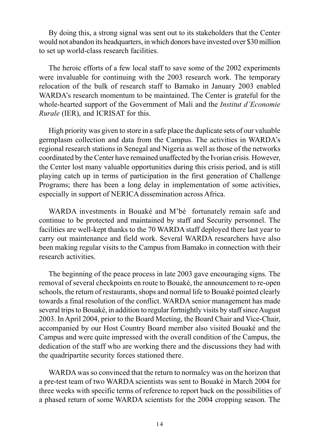By doing this, a strong signal was sent out to its stakeholders that the Center would not abandon its headquarters, in which donors have invested over \$30 million to set up world-class research facilities.

The heroic efforts of a few local staff to save some of the 2002 experiments were invaluable for continuing with the 2003 research work. The temporary relocation of the bulk of research staff to Bamako in January 2003 enabled WARDA's research momentum to be maintained. The Center is grateful for the whole-hearted support of the Government of Mali and the *Institut d'Economie Rurale* (IER), and ICRISAT for this.

High priority was given to store in a safe place the duplicate sets of our valuable germplasm collection and data from the Campus. The activities in WARDAís regional research stations in Senegal and Nigeria as well as those of the networks coordinated by the Center have remained unaffected by the Ivorian crisis. However, the Center lost many valuable opportunities during this crisis period, and is still playing catch up in terms of participation in the first generation of Challenge Programs; there has been a long delay in implementation of some activities, especially in support of NERICA dissemination across Africa.

WARDA investments in Bouaké and M'bé fortunately remain safe and continue to be protected and maintained by staff and Security personnel. The facilities are well-kept thanks to the 70 WARDA staff deployed there last year to carry out maintenance and field work. Several WARDA researchers have also been making regular visits to the Campus from Bamako in connection with their research activities.

The beginning of the peace process in late 2003 gave encouraging signs. The removal of several checkpoints en route to Bouaké, the announcement to re-open schools, the return of restaurants, shops and normal life to Bouaké pointed clearly towards a final resolution of the conflict. WARDA senior management has made several trips to BouakÈ, in addition to regular fortnightly visits by staff since August 2003. In April 2004, prior to the Board Meeting, the Board Chair and Vice-Chair, accompanied by our Host Country Board member also visited Bouaké and the Campus and were quite impressed with the overall condition of the Campus, the dedication of the staff who are working there and the discussions they had with the quadripartite security forces stationed there.

WARDA was so convinced that the return to normalcy was on the horizon that a pre-test team of two WARDA scientists was sent to Bouaké in March 2004 for three weeks with specific terms of reference to report back on the possibilities of a phased return of some WARDA scientists for the 2004 cropping season. The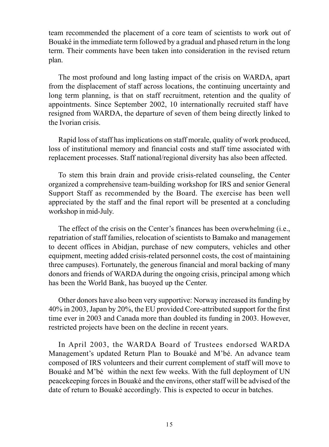team recommended the placement of a core team of scientists to work out of BouakÈ in the immediate term followed by a gradual and phased return in the long term. Their comments have been taken into consideration in the revised return plan.

The most profound and long lasting impact of the crisis on WARDA, apart from the displacement of staff across locations, the continuing uncertainty and long term planning, is that on staff recruitment, retention and the quality of appointments. Since September 2002, 10 internationally recruited staff have resigned from WARDA, the departure of seven of them being directly linked to the Ivorian crisis.

Rapid loss of staff has implications on staff morale, quality of work produced, loss of institutional memory and financial costs and staff time associated with replacement processes. Staff national/regional diversity has also been affected.

To stem this brain drain and provide crisis-related counseling, the Center organized a comprehensive team-building workshop for IRS and senior General Support Staff as recommended by the Board. The exercise has been well appreciated by the staff and the final report will be presented at a concluding workshop in mid-July.

The effect of the crisis on the Center's finances has been overwhelming (i.e., repatriation of staff families, relocation of scientists to Bamako and management to decent offices in Abidjan, purchase of new computers, vehicles and other equipment, meeting added crisis-related personnel costs, the cost of maintaining three campuses). Fortunately, the generous financial and moral backing of many donors and friends of WARDA during the ongoing crisis, principal among which has been the World Bank, has buoyed up the Center.

Other donors have also been very supportive: Norway increased its funding by 40% in 2003, Japan by 20%, the EU provided Core-attributed support for the first time ever in 2003 and Canada more than doubled its funding in 2003. However, restricted projects have been on the decline in recent years.

In April 2003, the WARDA Board of Trustees endorsed WARDA Management's updated Return Plan to Bouaké and M'bé. An advance team composed of IRS volunteers and their current complement of staff will move to Bouaké and M'bé within the next few weeks. With the full deployment of UN peacekeeping forces in BouakÈ and the environs, other staff will be advised of the date of return to Bouaké accordingly. This is expected to occur in batches.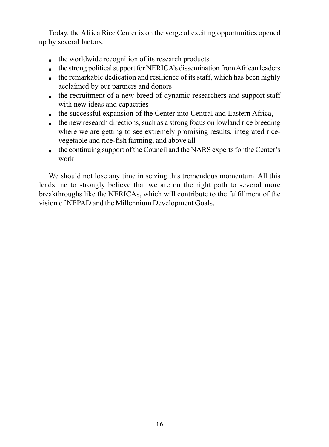<span id="page-20-0"></span>Today, the Africa Rice Center is on the verge of exciting opportunities opened up by several factors:

- $\bullet$  the worldwide recognition of its research products
- $\bullet$  the strong political support for NERICA's dissemination from African leaders
- $\bullet$  the remarkable dedication and resilience of its staff, which has been highly acclaimed by our partners and donors
- the recruitment of a new breed of dynamic researchers and support staff with new ideas and capacities
- the successful expansion of the Center into Central and Eastern Africa,
- $\bullet$  the new research directions, such as a strong focus on lowland rice breeding where we are getting to see extremely promising results, integrated ricevegetable and rice-fish farming, and above all
- $\bullet$  the continuing support of the Council and the NARS experts for the Center's work

We should not lose any time in seizing this tremendous momentum. All this leads me to strongly believe that we are on the right path to several more breakthroughs like the NERICAs, which will contribute to the fulfillment of the vision of NEPAD and the Millennium Development Goals.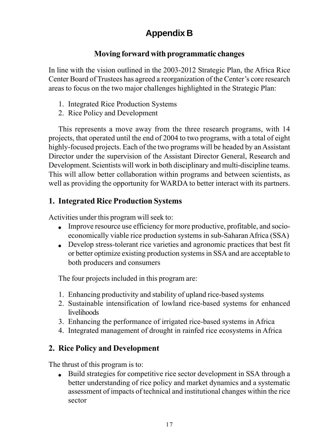# **Appendix B**

### **Moving forward with programmatic changes**

<span id="page-21-0"></span>In line with the vision outlined in the 2003-2012 Strategic Plan, the Africa Rice Center Board of Trustees has agreed a reorganization of the Center's core research areas to focus on the two major challenges highlighted in the Strategic Plan:

- 1. Integrated Rice Production Systems
- 2. Rice Policy and Development

This represents a move away from the three research programs, with 14 projects, that operated until the end of 2004 to two programs, with a total of eight highly-focused projects. Each of the two programs will be headed by an Assistant Director under the supervision of the Assistant Director General, Research and Development. Scientists will work in both disciplinary and multi-discipline teams. This will allow better collaboration within programs and between scientists, as well as providing the opportunity for WARDA to better interact with its partners.

### **1. Integrated Rice Production Systems**

Activities under this program will seek to:

- ! Improve resource use efficiency for more productive, profitable, and socioeconomically viable rice production systems in sub-Saharan Africa (SSA)
- ! Develop stress-tolerant rice varieties and agronomic practices that best fit or better optimize existing production systems in SSA and are acceptable to both producers and consumers

The four projects included in this program are:

- 1. Enhancing productivity and stability of upland rice-based systems
- 2. Sustainable intensification of lowland rice-based systems for enhanced livelihoods
- 3. Enhancing the performance of irrigated rice-based systems in Africa
- 4. Integrated management of drought in rainfed rice ecosystems in Africa

### **2. Rice Policy and Development**

The thrust of this program is to:

! Build strategies for competitive rice sector development in SSA through a better understanding of rice policy and market dynamics and a systematic assessment of impacts of technical and institutional changes within the rice sector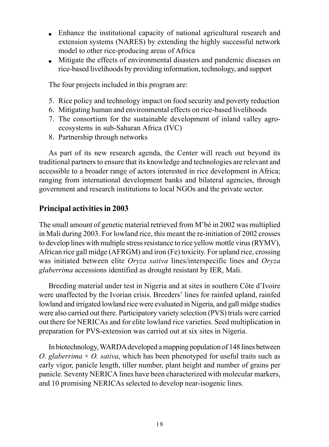- <span id="page-22-0"></span>! Enhance the institutional capacity of national agricultural research and extension systems (NARES) by extending the highly successful network model to other rice-producing areas of Africa
- ! Mitigate the effects of environmental disasters and pandemic diseases on rice-based livelihoods by providing information, technology, and support

The four projects included in this program are:

- 5. Rice policy and technology impact on food security and poverty reduction
- 6. Mitigating human and environmental effects on rice-based livelihoods
- 7. The consortium for the sustainable development of inland valley agroecosystems in sub-Saharan Africa (IVC)
- 8. Partnership through networks

As part of its new research agenda, the Center will reach out beyond its traditional partners to ensure that its knowledge and technologies are relevant and accessible to a broader range of actors interested in rice development in Africa; ranging from international development banks and bilateral agencies, through government and research institutions to local NGOs and the private sector.

### **Principal activities in 2003**

The small amount of genetic material retrieved from  $M'$  bé in 2002 was multiplied in Mali during 2003. For lowland rice, this meant the re-initiation of 2002 crosses to develop lines with multiple stress resistance to rice yellow mottle virus (RYMV), African rice gall midge (AFRGM) and iron (Fe) toxicity. For upland rice, crossing was initiated between elite *Oryza sativa* lines/interspecific lines and *Oryza glaberrima* accessions identified as drought resistant by IER, Mali.

Breeding material under test in Nigeria and at sites in southern Côte d'Ivoire were unaffected by the Ivorian crisis. Breeders' lines for rainfed upland, rainfed lowland and irrigated lowland rice were evaluated in Nigeria, and gall midge studies were also carried out there. Participatory variety selection (PVS) trials were carried out there for NERICAs and for elite lowland rice varieties. Seed multiplication in preparation for PVS-extension was carried out at six sites in Nigeria.

In biotechnology, WARDA developed a mapping population of 148 lines between *O. glaberrima* × *O. sativa*, which has been phenotyped for useful traits such as early vigor, panicle length, tiller number, plant height and number of grains per panicle. Seventy NERICA lines have been characterized with molecular markers, and 10 promising NERICAs selected to develop near-isogenic lines.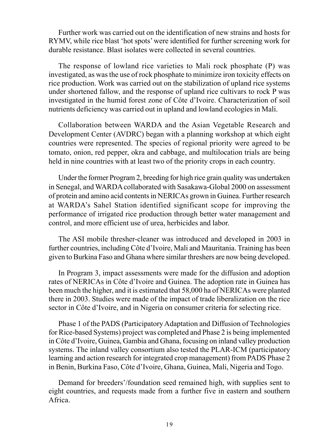<span id="page-23-0"></span>Further work was carried out on the identification of new strains and hosts for RYMV, while rice blast 'hot spots' were identified for further screening work for durable resistance. Blast isolates were collected in several countries.

The response of lowland rice varieties to Mali rock phosphate (P) was investigated, as was the use of rock phosphate to minimize iron toxicity effects on rice production. Work was carried out on the stabilization of upland rice systems under shortened fallow, and the response of upland rice cultivars to rock P was investigated in the humid forest zone of Côte d'Ivoire. Characterization of soil nutrients deficiency was carried out in upland and lowland ecologies in Mali.

Collaboration between WARDA and the Asian Vegetable Research and Development Center (AVDRC) began with a planning workshop at which eight countries were represented. The species of regional priority were agreed to be tomato, onion, red pepper, okra and cabbage, and multilocation trials are being held in nine countries with at least two of the priority crops in each country.

Under the former Program 2, breeding for high rice grain quality was undertaken in Senegal, and WARDA collaborated with Sasakawa-Global 2000 on assessment of protein and amino acid contents in NERICAs grown in Guinea. Further research at WARDAís Sahel Station identified significant scope for improving the performance of irrigated rice production through better water management and control, and more efficient use of urea, herbicides and labor.

The ASI mobile thresher-cleaner was introduced and developed in 2003 in further countries, including Côte d'Ivoire, Mali and Mauritania. Training has been given to Burkina Faso and Ghana where similar threshers are now being developed.

In Program 3, impact assessments were made for the diffusion and adoption rates of NERICAs in Côte d'Ivoire and Guinea. The adoption rate in Guinea has been much the higher, and it is estimated that 58,000 ha of NERICAs were planted there in 2003. Studies were made of the impact of trade liberalization on the rice sector in Côte d'Ivoire, and in Nigeria on consumer criteria for selecting rice.

Phase 1 of the PADS (Participatory Adaptation and Diffusion of Technologies for Rice-based Systems) project was completed and Phase 2 is being implemented in Côte d'Ivoire, Guinea, Gambia and Ghana, focusing on inland valley production systems. The inland valley consortium also tested the PLAR-ICM (participatory learning and action research for integrated crop management) from PADS Phase 2 in Benin, Burkina Faso, Côte d'Ivoire, Ghana, Guinea, Mali, Nigeria and Togo.

Demand for breeders'/foundation seed remained high, with supplies sent to eight countries, and requests made from a further five in eastern and southern Africa.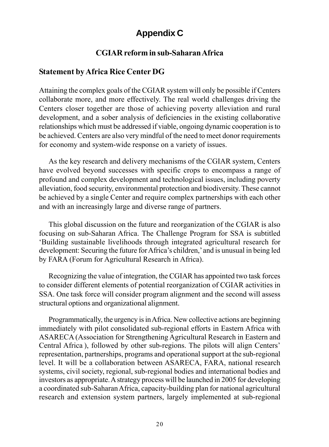# **Appendix C**

### **CGIAR reform in sub-Saharan Africa**

### **Statement by Africa Rice Center DG**

Attaining the complex goals of the CGIAR system will only be possible if Centers collaborate more, and more effectively. The real world challenges driving the Centers closer together are those of achieving poverty alleviation and rural development, and a sober analysis of deficiencies in the existing collaborative relationships which must be addressed if viable, ongoing dynamic cooperation is to be achieved. Centers are also very mindful of the need to meet donor requirements for economy and system-wide response on a variety of issues.

As the key research and delivery mechanisms of the CGIAR system, Centers have evolved beyond successes with specific crops to encompass a range of profound and complex development and technological issues, including poverty alleviation, food security, environmental protection and biodiversity. These cannot be achieved by a single Center and require complex partnerships with each other and with an increasingly large and diverse range of partners.

This global discussion on the future and reorganization of the CGIAR is also focusing on sub-Saharan Africa. The Challenge Program for SSA is subtitled ëBuilding sustainable livelihoods through integrated agricultural research for development: Securing the future for Africa's children, and is unusual in being led by FARA (Forum for Agricultural Research in Africa).

Recognizing the value of integration, the CGIAR has appointed two task forces to consider different elements of potential reorganization of CGIAR activities in SSA. One task force will consider program alignment and the second will assess structural options and organizational alignment.

Programmatically, the urgency is in Africa. New collective actions are beginning immediately with pilot consolidated sub-regional efforts in Eastern Africa with ASARECA (Association for Strengthening Agricultural Research in Eastern and Central Africa ), followed by other sub-regions. The pilots will align Centersí representation, partnerships, programs and operational support at the sub-regional level. It will be a collaboration between ASARECA, FARA, national research systems, civil society, regional, sub-regional bodies and international bodies and investors as appropriate. A strategy process will be launched in 2005 for developing a coordinated sub-Saharan Africa, capacity-building plan for national agricultural research and extension system partners, largely implemented at sub-regional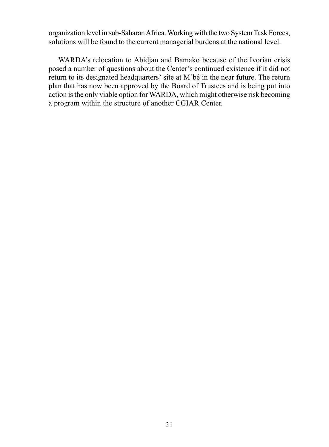<span id="page-25-0"></span>organization level in sub-Saharan Africa. Working with the two System Task Forces, solutions will be found to the current managerial burdens at the national level.

WARDA's relocation to Abidjan and Bamako because of the Ivorian crisis posed a number of questions about the Center's continued existence if it did not return to its designated headquarters' site at  $M<sup>3</sup>$ bé in the near future. The return plan that has now been approved by the Board of Trustees and is being put into action is the only viable option for WARDA, which might otherwise risk becoming a program within the structure of another CGIAR Center.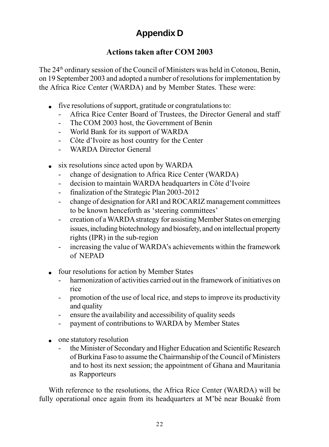# **Appendix D**

### **Actions taken after COM 2003**

The 24th ordinary session of the Council of Ministers was held in Cotonou, Benin, on 19 September 2003 and adopted a number of resolutions for implementation by the Africa Rice Center (WARDA) and by Member States. These were:

- ! five resolutions of support, gratitude or congratulations to:
	- Africa Rice Center Board of Trustees, the Director General and staff
	- The COM 2003 host, the Government of Benin
	- World Bank for its support of WARDA
	- Côte d'Ivoire as host country for the Center
	- WARDA Director General
- $\bullet$  six resolutions since acted upon by WARDA
	- change of designation to Africa Rice Center (WARDA)
	- decision to maintain WARDA headquarters in Côte d'Ivoire
	- finalization of the Strategic Plan 2003-2012
	- change of designation for ARI and ROCARIZ management committees to be known henceforth as 'steering committees'
	- creation of a WARDA strategy for assisting Member States on emerging issues, including biotechnology and biosafety, and on intellectual property rights (IPR) in the sub-region
	- increasing the value of WARDA's achievements within the framework of NEPAD
- four resolutions for action by Member States
	- harmonization of activities carried out in the framework of initiatives on rice
	- promotion of the use of local rice, and steps to improve its productivity and quality
	- ensure the availability and accessibility of quality seeds
	- payment of contributions to WARDA by Member States
- one statutory resolution
	- the Minister of Secondary and Higher Education and Scientific Research of Burkina Faso to assume the Chairmanship of the Council of Ministers and to host its next session; the appointment of Ghana and Mauritania as Rapporteurs

With reference to the resolutions, the Africa Rice Center (WARDA) will be fully operational once again from its headquarters at  $M'$ bé near Bouaké from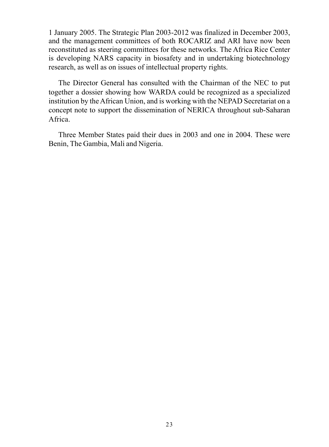<span id="page-27-0"></span>1 January 2005. The Strategic Plan 2003-2012 was finalized in December 2003, and the management committees of both ROCARIZ and ARI have now been reconstituted as steering committees for these networks. The Africa Rice Center is developing NARS capacity in biosafety and in undertaking biotechnology research, as well as on issues of intellectual property rights.

The Director General has consulted with the Chairman of the NEC to put together a dossier showing how WARDA could be recognized as a specialized institution by the African Union, and is working with the NEPAD Secretariat on a concept note to support the dissemination of NERICA throughout sub-Saharan Africa.

Three Member States paid their dues in 2003 and one in 2004. These were Benin, The Gambia, Mali and Nigeria.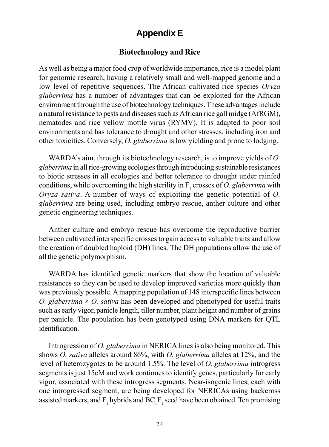## **Appendix E**

### **Biotechnology and Rice**

As well as being a major food crop of worldwide importance, rice is a model plant for genomic research, having a relatively small and well-mapped genome and a low level of repetitive sequences. The African cultivated rice species *Oryza glaberrima* has a number of advantages that can be exploited for the African environment through the use of biotechnology techniques. These advantages include a natural resistance to pests and diseases such as African rice gall midge (AfRGM), nematodes and rice yellow mottle virus (RYMV). It is adapted to poor soil environments and has tolerance to drought and other stresses, including iron and other toxicities. Conversely, *O. glaberrima* is low yielding and prone to lodging.

WARDA's aim, through its biotechnology research, is to improve yields of *O*. *glaberrima* in all rice-growing ecologies through introducing sustainable resistances to biotic stresses in all ecologies and better tolerance to drought under rainfed conditions, while overcoming the high sterility in  $F_1$  crosses of *O. glaberrima* with *Oryza sativa*. A number of ways of exploiting the genetic potential of *O. glaberrima* are being used, including embryo rescue, anther culture and other genetic engineering techniques.

Anther culture and embryo rescue has overcome the reproductive barrier between cultivated interspecific crosses to gain access to valuable traits and allow the creation of doubled haploid (DH) lines. The DH populations allow the use of all the genetic polymorphism.

WARDA has identified genetic markers that show the location of valuable resistances so they can be used to develop improved varieties more quickly than was previously possible. A mapping population of 148 interspecific lines between *O. glaberrima* × *O. sativa* has been developed and phenotyped for useful traits such as early vigor, panicle length, tiller number, plant height and number of grains per panicle. The population has been genotyped using DNA markers for QTL identification.

Introgression of *O. glaberrima* in NERICA lines is also being monitored. This shows *O. sativa* alleles around 86%, with *O. glaberrima* alleles at 12%, and the level of heterozygotes to be around 1.5%. The level of *O. glaberrima* introgress segments is just 15cM and work continues to identify genes, particularly for early vigor, associated with these introgress segments. Near-isogenic lines, each with one introgressed segment, are being developed for NERICAs using backcross assisted markers, and  $F_1$  hybrids and  $BC_1F_1$  seed have been obtained. Ten promising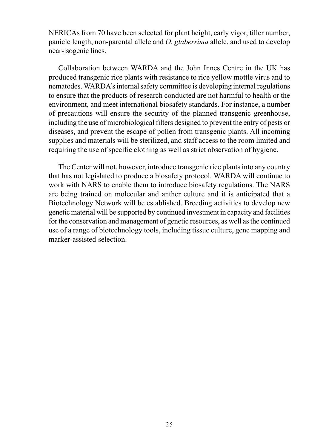<span id="page-29-0"></span>NERICAs from 70 have been selected for plant height, early vigor, tiller number, panicle length, non-parental allele and *O. glaberrima* allele, and used to develop near-isogenic lines.

Collaboration between WARDA and the John Innes Centre in the UK has produced transgenic rice plants with resistance to rice yellow mottle virus and to nematodes. WARDA's internal safety committee is developing internal regulations to ensure that the products of research conducted are not harmful to health or the environment, and meet international biosafety standards. For instance, a number of precautions will ensure the security of the planned transgenic greenhouse, including the use of microbiological filters designed to prevent the entry of pests or diseases, and prevent the escape of pollen from transgenic plants. All incoming supplies and materials will be sterilized, and staff access to the room limited and requiring the use of specific clothing as well as strict observation of hygiene.

The Center will not, however, introduce transgenic rice plants into any country that has not legislated to produce a biosafety protocol. WARDA will continue to work with NARS to enable them to introduce biosafety regulations. The NARS are being trained on molecular and anther culture and it is anticipated that a Biotechnology Network will be established. Breeding activities to develop new genetic material will be supported by continued investment in capacity and facilities for the conservation and management of genetic resources, as well as the continued use of a range of biotechnology tools, including tissue culture, gene mapping and marker-assisted selection.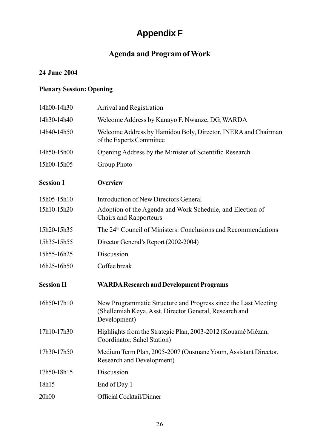# **Appendix F**

## **Agenda and Program of Work**

### **24 June 2004**

### **Plenary Session: Opening**

| 14h00-14h30       | Arrival and Registration                                                                                                                 |
|-------------------|------------------------------------------------------------------------------------------------------------------------------------------|
| 14h30-14h40       | Welcome Address by Kanayo F. Nwanze, DG, WARDA                                                                                           |
| 14h40-14h50       | Welcome Address by Hamidou Boly, Director, INERA and Chairman<br>of the Experts Committee                                                |
| 14h50-15h00       | Opening Address by the Minister of Scientific Research                                                                                   |
| 15h00-15h05       | Group Photo                                                                                                                              |
| <b>Session I</b>  | <b>Overview</b>                                                                                                                          |
| 15h05-15h10       | Introduction of New Directors General                                                                                                    |
| 15h10-15h20       | Adoption of the Agenda and Work Schedule, and Election of<br><b>Chairs and Rapporteurs</b>                                               |
| 15h20-15h35       | The 24 <sup>th</sup> Council of Ministers: Conclusions and Recommendations                                                               |
| 15h35-15h55       | Director General's Report (2002-2004)                                                                                                    |
| 15h55-16h25       | Discussion                                                                                                                               |
| 16h25-16h50       | Coffee break                                                                                                                             |
| <b>Session II</b> | <b>WARDA Research and Development Programs</b>                                                                                           |
| 16h50-17h10       | New Programmatic Structure and Progress since the Last Meeting<br>(Shellemiah Keya, Asst. Director General, Research and<br>Development) |
| 17h10-17h30       | Highlights from the Strategic Plan, 2003-2012 (Kouamé Miézan,<br>Coordinator, Sahel Station)                                             |
| 17h30-17h50       | Medium Term Plan, 2005-2007 (Ousmane Youm, Assistant Director,<br>Research and Development)                                              |
| 17h50-18h15       | Discussion                                                                                                                               |
| 18h15             | End of Day 1                                                                                                                             |
| 20h00             | Official Cocktail/Dinner                                                                                                                 |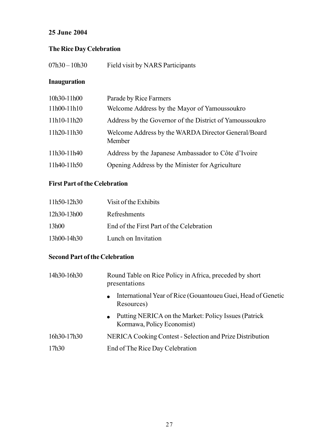### **25 June 2004**

### **The Rice Day Celebration**

| Field visit by NARS Participants<br>07h30 – 10h30 |  |
|---------------------------------------------------|--|
|---------------------------------------------------|--|

### **Inauguration**

| Parade by Rice Farmers                                        |
|---------------------------------------------------------------|
| Welcome Address by the Mayor of Yamoussoukro                  |
| Address by the Governor of the District of Yamoussoukro       |
| Welcome Address by the WARDA Director General/Board<br>Member |
| Address by the Japanese Ambassador to Côte d'Ivoire           |
| Opening Address by the Minister for Agriculture               |
|                                                               |

### **First Part of the Celebration**

| 11h50-12h30 | Visit of the Exhibits                    |
|-------------|------------------------------------------|
| 12h30-13h00 | <b>Refreshments</b>                      |
| 13h00       | End of the First Part of the Celebration |
| 13h00-14h30 | Lunch on Invitation                      |

### **Second Part of the Celebration**

| 14h30-16h30 | Round Table on Rice Policy in Africa, preceded by short<br>presentations                         |
|-------------|--------------------------------------------------------------------------------------------------|
|             | International Year of Rice (Gouantoueu Guei, Head of Genetic<br>$\bullet$<br>Resources)          |
|             | Putting NERICA on the Market: Policy Issues (Patrick)<br>$\bullet$<br>Kormawa, Policy Economist) |
| 16h30-17h30 | NERICA Cooking Contest - Selection and Prize Distribution                                        |
| 17h30       | End of The Rice Day Celebration                                                                  |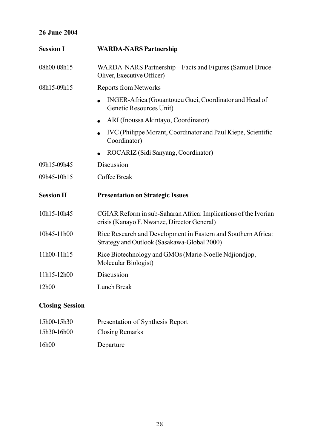### **26 June 2004**

| <b>Session I</b>  | <b>WARDA-NARS Partnership</b>                                                                                  |
|-------------------|----------------------------------------------------------------------------------------------------------------|
| 08h00-08h15       | WARDA-NARS Partnership – Facts and Figures (Samuel Bruce-<br>Oliver, Executive Officer)                        |
| 08h15-09h15       | <b>Reports from Networks</b>                                                                                   |
|                   | INGER-Africa (Gouantoueu Guei, Coordinator and Head of<br>Genetic Resources Unit)                              |
|                   | ARI (Inoussa Akintayo, Coordinator)                                                                            |
|                   | IVC (Philippe Morant, Coordinator and Paul Kiepe, Scientific<br>Coordinator)                                   |
|                   | ROCARIZ (Sidi Sanyang, Coordinator)                                                                            |
| 09h15-09h45       | Discussion                                                                                                     |
| 09h45-10h15       | Coffee Break                                                                                                   |
| <b>Session II</b> | <b>Presentation on Strategic Issues</b>                                                                        |
| 10h15-10h45       | CGIAR Reform in sub-Saharan Africa: Implications of the Ivorian<br>crisis (Kanayo F. Nwanze, Director General) |
| 10h45-11h00       | Rice Research and Development in Eastern and Southern Africa:<br>Strategy and Outlook (Sasakawa-Global 2000)   |
| 11h00-11h15       | Rice Biotechnology and GMOs (Marie-Noelle Ndjiondjop,<br>Molecular Biologist)                                  |
| 11h15-12h00       | Discussion                                                                                                     |
| 12h00             | Lunch Break                                                                                                    |

### **Closing Session**

| 15h00-15h30 | Presentation of Synthesis Report |
|-------------|----------------------------------|
| 15h30-16h00 | Closing Remarks                  |
| 16h00       | Departure                        |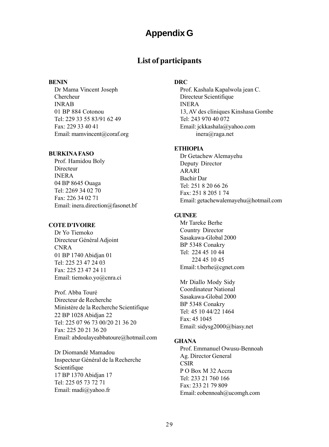## **Appendix G**

### **List of participants**

#### <span id="page-33-0"></span>**BENIN**

Dr Mama Vincent Joseph Chercheur INRAB 01 BP 884 Cotonou Tel: 229 33 55 83/91 62 49 Fax: 229 33 40 41 Email: mamvincent@coraf.org

#### **BURKINA FASO**

Prof. Hamidou Boly Directeur INERA 04 BP 8645 Ouaga Tel: 2269 34 02 70 Fax: 226 34 02 71 Email: inera.direction@fasonet.bf

#### **COTE DíIVOIRE**

Dr Yo Tiemoko Directeur Général Adjoint CNRA 01 BP 1740 Abidjan 01 Tel: 225 23 47 24 03 Fax: 225 23 47 24 11 Email: tiemoko.yo@cnra.ci

Prof. Abba Touré Directeur de Recherche MinistËre de la Recherche Scientifique 22 BP 1028 Abidjan 22 Tel: 225 07 96 73 00/20 21 36 20 Fax: 225 20 21 36 20 Email: abdoulayeabbatoure@hotmail.com

Dr Diomandé Mamadou Inspecteur Général de la Recherche Scientifique 17 BP 1370 Abidjan 17 Tel: 225 05 73 72 71 Email: madi@yahoo.fr

#### **DRC**

Prof. Kashala Kapalwola jean C. Directeur Scientifique INERA 13, AV des cliniques Kinshasa Gombe Tel: 243 970 40 072 Email: jckkashala@yahoo.com inera@raga.net

#### **ETHIOPIA**

Dr Getachew Alemayehu Deputy Director ARARI Bachir Dar Tel: 251 8 20 66 26 Fax: 251 8 205 1 74 Email: getachewalemayehu@hotmail.com

#### **GUINEE**

Mr Tareke Berhe Country Director Sasakawa-Global 2000 BP 5348 Conakry Tel: 224 45 10 44 224 45 10 45 Email: t.berhe@cgnet.com

Mr Diallo Mody Sidy Coordinateur National Sasakawa-Global 2000 BP 5348 Conakry Tel: 45 10 44/22 1464 Fax: 45 1045 Email: sidysg2000@biasy.net

### **GHANA**

Prof. Emmanuel Owusu-Bennoah Ag. Director General CSIR P O Box M 32 Accra Tel: 233 21 760 166 Fax: 233 21 79 809 Email: eobennoah@ucomgh.com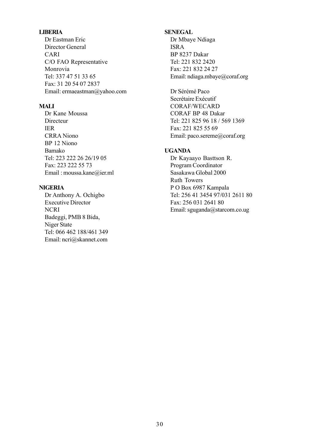#### **LIBERIA**

Dr Eastman Eric Director General CARI C/O FAO Representative Monrovia Tel: 337 47 51 33 65 Fax: 31 20 54 07 2837 Email: ermaeastman@yahoo.com

#### **MALI**

Dr Kane Moussa Directeur IER CRRA Niono BP 12 Niono Bamako Tel: 223 222 26 26/19 05 Fax: 223 222 55 73 Email : moussa.kane@ier.ml

#### **NIGERIA**

Dr Anthony A. Ochigbo Executive Director **NCRI** Badeggi, PMB 8 Bida, Niger State Tel: 066 462 188/461 349 Email: ncri@skannet.com

#### **SENEGAL**

Dr Mbaye Ndiaga ISRA BP 8237 Dakar Tel: 221 832 2420 Fax: 221 832 24 27 Email: ndiaga.mbaye@coraf.org

Dr SÈrÈmÈ Paco Secrétaire Exécutif CORAF/WECARD CORAF BP 48 Dakar Tel: 221 825 96 18 / 569 1369 Fax: 221 825 55 69 Email: paco.sereme@coraf.org

#### **UGANDA**

Dr Kayaayo Basttson R. Program Coordinator Sasakawa Global 2000 Ruth Towers P O Box 6987 Kampala Tel: 256 41 3454 97/031 2611 80 Fax: 256 031 2641 80 Email: sguganda@starcom.co.ug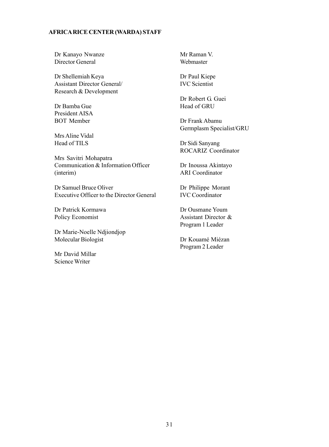#### **AFRICA RICE CENTER (WARDA) STAFF**

Dr Kanayo Nwanze Director General

Dr Shellemiah Keya Assistant Director General/ Research & Development

Dr Bamba Gue President AISA BOT Member

Mrs Aline Vidal Head of TILS

Mrs Savitri Mohapatra Communication & Information Officer (interim)

Dr Samuel Bruce Oliver Executive Officer to the Director General

Dr Patrick Kormawa Policy Economist

Dr Marie-Noelle Ndjiondjop Molecular Biologist

Mr David Millar Science Writer

Mr Raman V. Webmaster

Dr Paul Kiepe IVC Scientist

Dr Robert G. Guei Head of GRU

Dr Frank Abamu Germplasm Specialist/GRU

Dr Sidi Sanyang ROCARIZ Coordinator

Dr Inoussa Akintayo ARI Coordinator

Dr Philippe Morant IVC Coordinator

Dr Ousmane Youm Assistant Director & Program 1 Leader

Dr Kouamé Miézan Program 2 Leader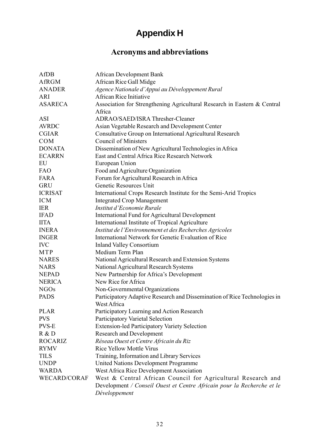# **Appendix H**

### **Acronyms and abbreviations**

<span id="page-36-0"></span>

| AfDB                | African Development Bank                                                                 |
|---------------------|------------------------------------------------------------------------------------------|
| AfRGM               | African Rice Gall Midge                                                                  |
| <b>ANADER</b>       | Agence Nationale d'Appui au Développement Rural                                          |
| ARI                 | African Rice Initiative                                                                  |
| <b>ASARECA</b>      | Association for Strengthening Agricultural Research in Eastern & Central                 |
|                     | Africa                                                                                   |
| ASI                 | ADRAO/SAED/ISRA Thresher-Cleaner                                                         |
| <b>AVRDC</b>        | Asian Vegetable Research and Development Center                                          |
| <b>CGIAR</b>        | Consultative Group on International Agricultural Research                                |
| COM                 | Council of Ministers                                                                     |
| <b>DONATA</b>       | Dissemination of New Agricultural Technologies in Africa                                 |
| <b>ECARRN</b>       | East and Central Africa Rice Research Network                                            |
| EU                  | European Union                                                                           |
| <b>FAO</b>          | Food and Agriculture Organization                                                        |
| FARA                | Forum for Agricultural Research in Africa                                                |
| GRU                 | Genetic Resources Unit                                                                   |
| <b>ICRISAT</b>      | International Crops Research Institute for the Semi-Arid Tropics                         |
| <b>ICM</b>          | <b>Integrated Crop Management</b>                                                        |
| <b>IER</b>          | Institut d'Economie Rurale                                                               |
| <b>IFAD</b>         | International Fund for Agricultural Development                                          |
| <b>IITA</b>         | International Institute of Tropical Agriculture                                          |
| <b>INERA</b>        | Institut de l'Environnement et des Recherches Agricoles                                  |
| <b>INGER</b>        | International Network for Genetic Evaluation of Rice                                     |
| <b>IVC</b>          | <b>Inland Valley Consortium</b>                                                          |
| MTP                 | Medium Term Plan                                                                         |
| NARES               | National Agricultural Research and Extension Systems                                     |
| <b>NARS</b>         | National Agricultural Research Systems                                                   |
| <b>NEPAD</b>        | New Partnership for Africa's Development                                                 |
| <b>NERICA</b>       | New Rice for Africa                                                                      |
| NGO <sub>s</sub>    | Non-Governmental Organizations                                                           |
| <b>PADS</b>         | Participatory Adaptive Research and Dissemination of Rice Technologies in<br>West Africa |
| PLAR                | Participatory Learning and Action Research                                               |
| <b>PVS</b>          | Participatory Varietal Selection                                                         |
| <b>PVS-E</b>        | <b>Extension-led Participatory Variety Selection</b>                                     |
| R & D               | Research and Development                                                                 |
| ROCARIZ             | Réseau Ouest et Centre Africain du Riz                                                   |
| <b>RYMV</b>         | Rice Yellow Mottle Virus                                                                 |
| TILS                | Training, Information and Library Services                                               |
| <b>UNDP</b>         | United Nations Development Programme                                                     |
| WARDA               | West Africa Rice Development Association                                                 |
| <b>WECARD/CORAF</b> | West & Central African Council for Agricultural Research and                             |
|                     | Development / Conseil Ouest et Centre Africain pour la Recherche et le<br>Développement  |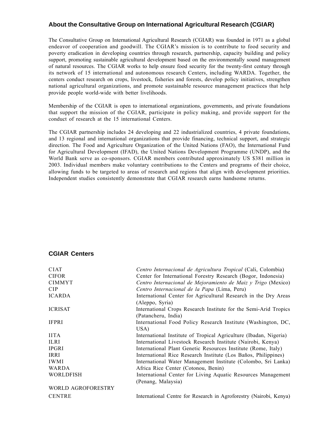### **About the Consultative Group on International Agricultural Research (CGIAR)**

The Consultative Group on International Agricultural Research (CGIAR) was founded in 1971 as a global endeavor of cooperation and goodwill. The CGIAR's mission is to contribute to food security and poverty eradication in developing countries through research, partnership, capacity building and policy support, promoting sustainable agricultural development based on the environmentally sound management of natural resources. The CGIAR works to help ensure food security for the twenty-first century through its network of 15 international and autonomous research Centers, including WARDA. Together, the centers conduct research on crops, livestock, fisheries and forests, develop policy initiatives, strengthen national agricultural organizations, and promote sustainable resource management practices that help provide people world-wide with better livelihoods.

Membership of the CGIAR is open to international organizations, governments, and private foundations that support the mission of the CGIAR, participate in policy making, and provide support for the conduct of research at the 15 international Centers.

The CGIAR partnership includes 24 developing and 22 industrialized countries, 4 private foundations, and 13 regional and international organizations that provide financing, technical support, and strategic direction. The Food and Agriculture Organization of the United Nations (FAO), the International Fund for Agricultural Development (IFAD), the United Nations Development Programme (UNDP), and the World Bank serve as co-sponsors. CGIAR members contributed approximately US \$381 million in 2003. Individual members make voluntary contributions to the Centers and programs of their choice, allowing funds to be targeted to areas of research and regions that align with development priorities. Independent studies consistently demonstrate that CGIAR research earns handsome returns.

#### **CGIAR Centers**

| <b>CIAT</b>               | Centro Internacional de Agricultura Tropical (Cali, Colombia)      |
|---------------------------|--------------------------------------------------------------------|
| <b>CIFOR</b>              | Center for International Forestry Research (Bogor, Indonesia)      |
| <b>CIMMYT</b>             | Centro Internacional de Mejoramiento de Maiz y Trigo (Mexico)      |
| <b>CIP</b>                | Centro Internacional de la Papa (Lima, Peru)                       |
| <b>ICARDA</b>             | International Center for Agricultural Research in the Dry Areas    |
|                           | (Aleppo, Syria)                                                    |
| <b>ICRISAT</b>            | International Crops Research Institute for the Semi-Arid Tropics   |
|                           | (Patancheru, India)                                                |
| <b>IFPRI</b>              | International Food Policy Research Institute (Washington, DC,      |
|                           | USA)                                                               |
| <b>IITA</b>               | International Institute of Tropical Agriculture (Ibadan, Nigeria)  |
| <b>ILRI</b>               | International Livestock Research Institute (Nairobi, Kenya)        |
| <b>IPGRI</b>              | International Plant Genetic Resources Institute (Rome, Italy)      |
| IRRI                      | International Rice Research Institute (Los Baños, Philippines)     |
| <b>IWMI</b>               | International Water Management Institute (Colombo, Sri Lanka)      |
| <b>WARDA</b>              | Africa Rice Center (Cotonou, Benin)                                |
| <b>WORLDFISH</b>          | International Center for Living Aquatic Resources Management       |
|                           | (Penang, Malaysia)                                                 |
| <b>WORLD AGROFORESTRY</b> |                                                                    |
| <b>CENTRE</b>             | International Centre for Research in Agroforestry (Nairobi, Kenya) |